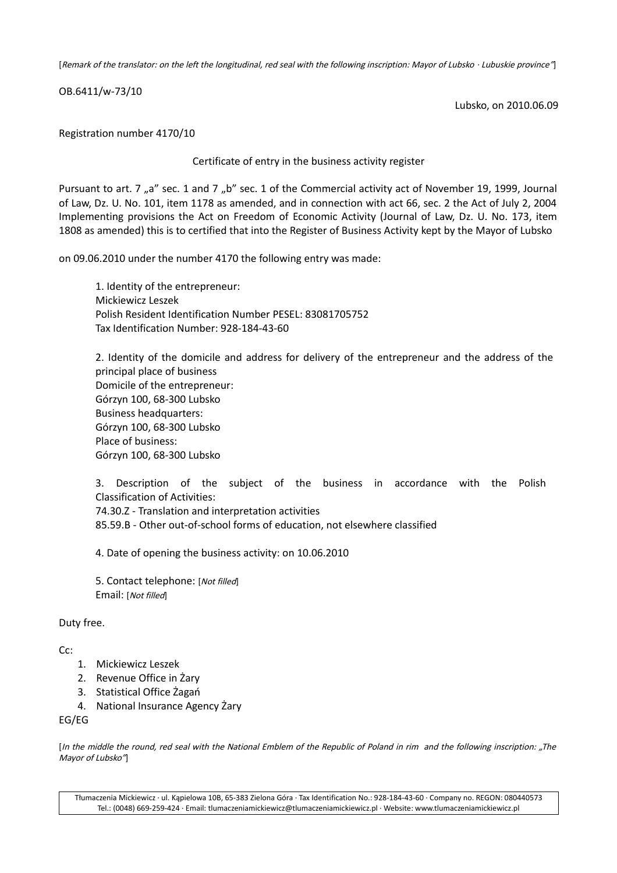[Remark of the translator: on the left the longitudinal, red seal with the following inscription: Mayor of Lubsko · Lubuskie province"]

OB.6411/w-73/10

Lubsko, on 2010.06.09

Registration number 4170/10

Certificate of entry in the business activity register

Pursuant to art. 7 "a" sec. 1 and 7 "b" sec. 1 of the Commercial activity act of November 19, 1999, Journal of Law, Dz. U. No. 101, item 1178 as amended, and in connection with act 66, sec. 2 the Act of July 2, 2004 Implementing provisions the Act on Freedom of Economic Activity (Journal of Law, Dz. U. No. 173, item 1808 as amended) this is to certified that into the Register of Business Activity kept by the Mayor of Lubsko

on 09.06.2010 under the number 4170 the following entry was made:

1. Identity of the entrepreneur: Mickiewicz Leszek Polish Resident Identification Number PESEL: 83081705752 Tax Identification Number: 928-184-43-60

2. Identity of the domicile and address for delivery of the entrepreneur and the address of the principal place of business Domicile of the entrepreneur: Górzyn 100, 68-300 Lubsko Business headquarters: Górzyn 100, 68-300 Lubsko Place of business: Górzyn 100, 68-300 Lubsko

3. Description of the subject of the business in accordance with the Polish Classification of Activities: 74.30.Z - Translation and interpretation activities

85.59.B - Other out-of-school forms of education, not elsewhere classified

4. Date of opening the business activity: on 10.06.2010

5. Contact telephone: [Not filled] Email: [Not filled]

Duty free.

 $Cr$ 

- 1. Mickiewicz Leszek
- 2. Revenue Office in Żary
- 3. Statistical Office Żagań
- 4. National Insurance Agency Żary

EG/EG

[In the middle the round, red seal with the National Emblem of the Republic of Poland in rim and the following inscription: "The Mayor of Lubsko"]

Tłumaczenia Mickiewicz · ul. Kąpielowa 10B, 65-383 Zielona Góra · Tax Identification No.: 928-184-43-60 · Company no. REGON: 080440573 Tel.: (0048) 669-259-424 · Email: tlumaczeniamickiewicz@tlumaczeniamickiewicz.pl · Website: www.tlumaczeniamickiewicz.pl